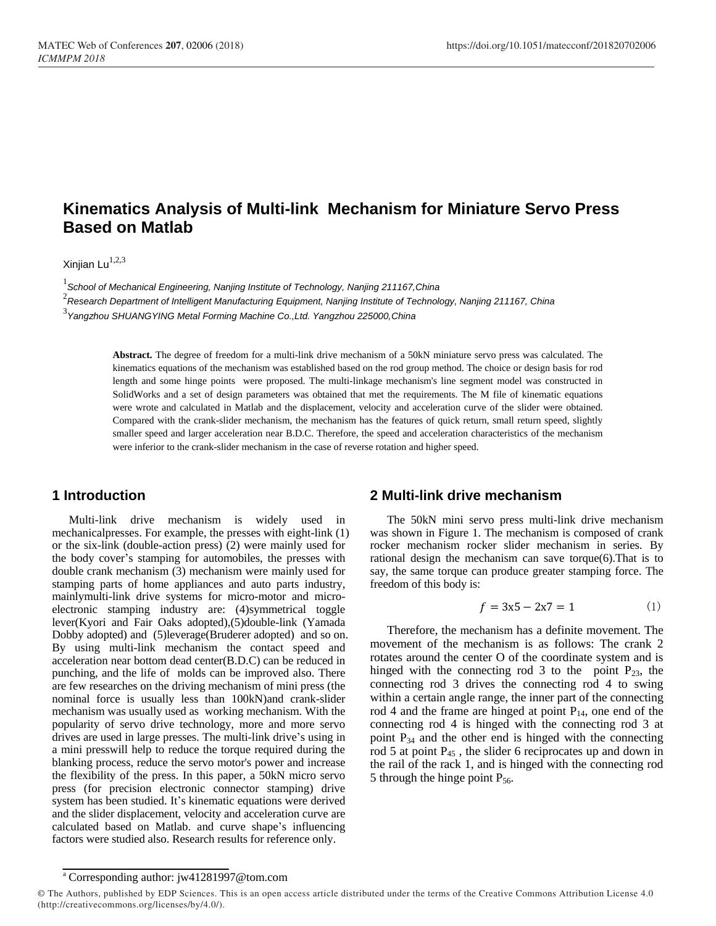# **Kinematics Analysis of Multi-link Mechanism for Miniature Servo Press Based on Matlab**

Xinjian Lu $^{1,2,3}$ 

1 *School of Mechanical Engineering, Nanjing Institute of Technology, Nanjing 211167,China*

2 *Research Department of Intelligent Manufacturing Equipment, Nanjing Institute of Technology, Nanjing 211167, China*

3 *Yangzhou SHUANGYING Metal Forming Machine Co.,Ltd. Yangzhou 225000,China*

**Abstract.** The degree of freedom for a multi-link drive mechanism of a 50kN miniature servo press was calculated. The kinematics equations of the mechanism was established based on the rod group method. The choice or design basis for rod length and some hinge points were proposed. The multi-linkage mechanism's line segment model was constructed in SolidWorks and a set of design parameters was obtained that met the requirements. The M file of kinematic equations were wrote and calculated in Matlab and the displacement, velocity and acceleration curve of the slider were obtained. Compared with the crank-slider mechanism, the mechanism has the features of quick return, small return speed, slightly smaller speed and larger acceleration near B.D.C. Therefore, the speed and acceleration characteristics of the mechanism were inferior to the crank-slider mechanism in the case of reverse rotation and higher speed.

# **1 Introduction**

Multi-link drive mechanism is widely used in mechanicalpresses. For example, the presses with eight-link (1) or the six-link (double-action press) (2) were mainly used for the body cover's stamping for automobiles, the presses with double crank mechanism (3) mechanism were mainly used for stamping parts of home appliances and auto parts industry, mainlymulti-link drive systems for micro-motor and microelectronic stamping industry are: (4)symmetrical toggle lever(Kyori and Fair Oaks adopted),(5)double-link (Yamada Dobby adopted) and (5)leverage(Bruderer adopted) and so on. By using multi-link mechanism the contact speed and acceleration near bottom dead center(B.D.C) can be reduced in punching, and the life of molds can be improved also. There are few researches on the driving mechanism of mini press (the nominal force is usually less than 100kN)and crank-slider mechanism was usually used as working mechanism. With the popularity of servo drive technology, more and more servo drives are used in large presses. The multi-link drive's using in a mini presswill help to reduce the torque required during the blanking process, reduce the servo motor's power and increase the flexibility of the press. In this paper, a 50kN micro servo press (for precision electronic connector stamping) drive system has been studied. It's kinematic equations were derived and the slider displacement, velocity and acceleration curve are calculated based on Matlab. and curve shape's influencing factors were studied also. Research results for reference only.

# **2 Multi-link drive mechanism**

The 50kN mini servo press multi-link drive mechanism was shown in Figure 1. The mechanism is composed of crank rocker mechanism rocker slider mechanism in series. By rational design the mechanism can save torque(6).That is to say, the same torque can produce greater stamping force. The freedom of this body is:

$$
f = 3x5 - 2x7 = 1 \tag{1}
$$

Therefore, the mechanism has a definite movement. The movement of the mechanism is as follows: The crank 2 rotates around the center O of the coordinate system and is hinged with the connecting rod 3 to the point  $P_{23}$ , the connecting rod 3 drives the connecting rod 4 to swing within a certain angle range, the inner part of the connecting rod 4 and the frame are hinged at point  $P_{14}$ , one end of the connecting rod 4 is hinged with the connecting rod 3 at point  $P_{34}$  and the other end is hinged with the connecting rod 5 at point  $P_{45}$ , the slider 6 reciprocates up and down in the rail of the rack 1, and is hinged with the connecting rod 5 through the hinge point  $P_{56}$ .

<sup>a</sup> Corresponding author: jw41281997@tom.com

<sup>©</sup> The Authors, published by EDP Sciences. This is an open access article distributed under the terms of the Creative Commons Attribution License 4.0 (http://creativecommons.org/licenses/by/4.0/).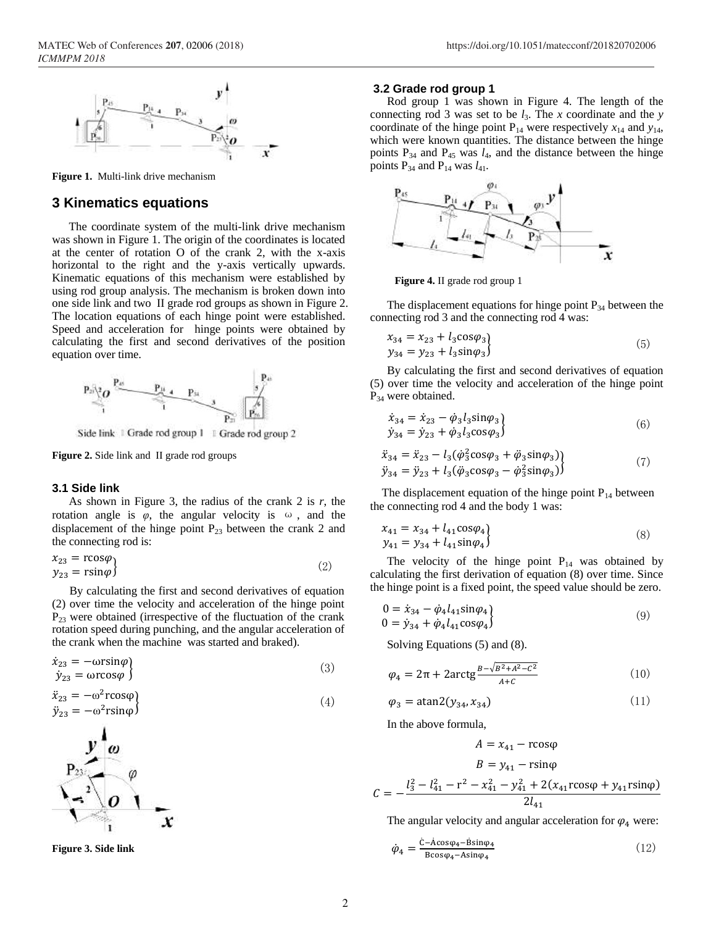

**Figure 1.** Multi-link drive mechanism

## **3 Kinematics equations**

The coordinate system of the multi-link drive mechanism was shown in Figure 1. The origin of the coordinates is located at the center of rotation O of the crank 2, with the x-axis horizontal to the right and the y-axis vertically upwards. Kinematic equations of this mechanism were established by using rod group analysis. The mechanism is broken down into one side link and two II grade rod groups as shown in Figure 2. The location equations of each hinge point were established. Speed and acceleration for hinge points were obtained by calculating the first and second derivatives of the position equation over time.



Side link | Grade rod group 1 | Grade rod group 2

**Figure 2.** Side link and II grade rod groups

#### **3.1 Side link**

As shown in Figure 3, the radius of the crank 2 is *r*, the rotation angle is  $\varphi$ , the angular velocity is  $\omega$ , and the displacement of the hinge point  $P_{23}$  between the crank 2 and the connecting rod is:

$$
x_{23} = r\cos\varphi \n y_{23} = r\sin\varphi
$$
\n(2)

By calculating the first and second derivatives of equation (2) over time the velocity and acceleration of the hinge point  $P_{23}$  were obtained (irrespective of the fluctuation of the crank rotation speed during punching, and the angular acceleration of the crank when the machine was started and braked).

$$
\dot{x}_{23} = -\omega r \sin \varphi \n\dot{y}_{23} = \omega r \cos \varphi
$$
\n(3)

$$
\ddot{x}_{23} = -\omega^2 r \cos \varphi \n\ddot{y}_{23} = -\omega^2 r \sin \varphi
$$
\n(4)



**Figure 3. Side link**

#### **3.2 Grade rod group 1**

Rod group 1 was shown in Figure 4. The length of the connecting rod 3 was set to be *l*3. The *x* coordinate and the *y* coordinate of the hinge point  $P_{14}$  were respectively  $x_{14}$  and  $y_{14}$ , which were known quantities. The distance between the hinge points  $P_{34}$  and  $P_{45}$  was  $l_4$ , and the distance between the hinge points  $P_{34}$  and  $P_{14}$  was  $l_{41}$ .



**Figure 4.** II grade rod group 1

The displacement equations for hinge point  $P_{34}$  between the connecting rod 3 and the connecting rod 4 was:

$$
x_{34} = x_{23} + l_3 \cos \varphi_3 \n y_{34} = y_{23} + l_3 \sin \varphi_3
$$
\n(5)

By calculating the first and second derivatives of equation (5) over time the velocity and acceleration of the hinge point P<sub>34</sub> were obtained.

$$
\dot{x}_{34} = \dot{x}_{23} - \dot{\varphi}_3 l_3 \sin \varphi_3 \n\dot{y}_{34} = \dot{y}_{23} + \dot{\varphi}_3 l_3 \cos \varphi_3
$$
\n(6)

$$
\ddot{x}_{34} = \ddot{x}_{23} - l_3(\dot{\varphi}_3^2 \cos \varphi_3 + \ddot{\varphi}_3 \sin \varphi_3) \n\ddot{y}_{34} = \ddot{y}_{23} + l_3(\ddot{\varphi}_3 \cos \varphi_3 - \dot{\varphi}_3^2 \sin \varphi_3)
$$
\n(7)

The displacement equation of the hinge point  $P_{14}$  between the connecting rod 4 and the body 1 was:

$$
x_{41} = x_{34} + l_{41} \cos \varphi_4 y_{41} = y_{34} + l_{41} \sin \varphi_4
$$
\n(8)

The velocity of the hinge point  $P_{14}$  was obtained by calculating the first derivation of equation (8) over time. Since the hinge point is a fixed point, the speed value should be zero.

$$
0 = \dot{x}_{34} - \dot{\varphi}_4 l_{41} \sin \varphi_4 \n0 = \dot{y}_{34} + \dot{\varphi}_4 l_{41} \cos \varphi_4
$$
\n(9)

Solving Equations (5) and (8).

$$
\varphi_4 = 2\pi + 2\arctg \frac{B - \sqrt{B^2 + A^2 - C^2}}{A + C}
$$
\n(10)

$$
\varphi_3 = \text{atan2}(y_{34}, x_{34}) \tag{11}
$$

In the above formula,

$$
A = x_{41} - r\cos\varphi
$$
  
\n
$$
B = y_{41} - r\sin\varphi
$$
  
\n
$$
= -\frac{l_3^2 - l_{41}^2 - r^2 - x_{41}^2 - y_{41}^2 + 2(x_{41}r\cos\varphi + y_{41}r\sin\varphi)}{2l_{41}}
$$

The angular velocity and angular acceleration for  $\varphi_4$  were:

$$
\dot{\varphi}_4 = \frac{\dot{c} - \dot{A}\cos\varphi_4 - \dot{B}\sin\varphi_4}{B\cos\varphi_4 - A\sin\varphi_4} \tag{12}
$$

 $\mathcal C$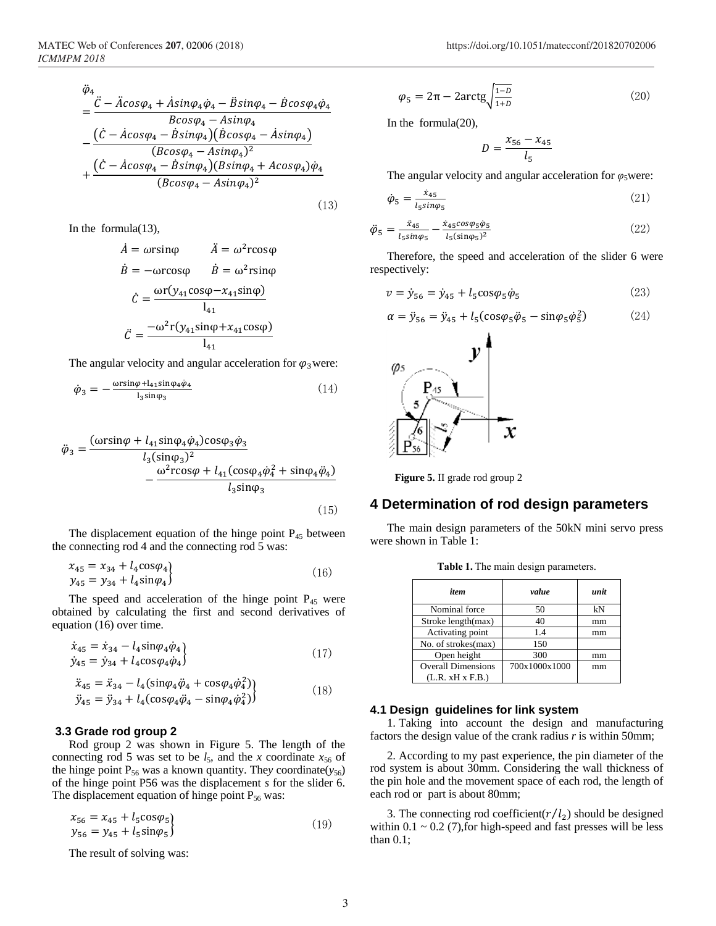$$
\ddot{\varphi}_4 = \frac{\ddot{C} - \ddot{A}cos\varphi_4 + \dot{A}sin\varphi_4 \dot{\varphi}_4 - \ddot{B}sin\varphi_4 - \dot{B}cos\varphi_4 \dot{\varphi}_4}{Bcos\varphi_4 - Asin\varphi_4} \n- \frac{(\dot{C} - \dot{A}cos\varphi_4 - \dot{B}sin\varphi_4)(\dot{B}cos\varphi_4 - \dot{A}sin\varphi_4)}{(Bcos\varphi_4 - Asin\varphi_4)^2} \n+ \frac{(\dot{C} - \dot{A}cos\varphi_4 - \dot{B}sin\varphi_4)(Bsin\varphi_4 + Acos\varphi_4)\dot{\varphi}_4}{(Bcos\varphi_4 - Asin\varphi_4)^2}
$$
\n(13)

In the formula(13),

$$
\begin{aligned}\n\dot{A} &= \omega r \sin \varphi & \dot{A} &= \omega^2 r \cos \varphi \\
\dot{B} &= -\omega r \cos \varphi & \dot{B} &= \omega^2 r \sin \varphi \\
\dot{C} &= \frac{\omega r (y_{41} \cos \varphi - x_{41} \sin \varphi)}{l_{41}} \\
\ddot{C} &= \frac{-\omega^2 r (y_{41} \sin \varphi + x_{41} \cos \varphi)}{l_{41}}\n\end{aligned}
$$

The angular velocity and angular acceleration for  $\varphi_3$  were:

$$
\dot{\varphi}_3 = -\frac{\omega r \sin \varphi + l_{41} \sin \varphi_4 \dot{\varphi}_4}{l_3 \sin \varphi_3} \tag{14}
$$

$$
\ddot{\varphi}_3 = \frac{(\omega r \sin \varphi + l_{41} \sin \varphi_4 \dot{\varphi}_4) \cos \varphi_3 \dot{\varphi}_3}{l_3 (\sin \varphi_3)^2} - \frac{\omega^2 r \cos \varphi + l_{41} (\cos \varphi_4 \dot{\varphi}_4^2 + \sin \varphi_4 \dot{\varphi}_4)}{l_3 \sin \varphi_3}
$$
(15)

The displacement equation of the hinge point  $P_{45}$  between the connecting rod 4 and the connecting rod 5 was:

$$
x_{45} = x_{34} + l_4 \cos \varphi_4 y_{45} = y_{34} + l_4 \sin \varphi_4
$$
\n(16)

The speed and acceleration of the hinge point  $P_{45}$  were obtained by calculating the first and second derivatives of equation (16) over time.

$$
\begin{aligned} \dot{x}_{45} &= \dot{x}_{34} - l_4 \sin\varphi_4 \dot{\varphi}_4 \\ \dot{y}_{45} &= \dot{y}_{34} + l_4 \cos\varphi_4 \dot{\varphi}_4 \end{aligned} \tag{17}
$$

$$
\ddot{x}_{45} = \ddot{x}_{34} - l_4 \left( \sin \varphi_4 \ddot{\varphi}_4 + \cos \varphi_4 \dot{\varphi}_4^2 \right) \n\ddot{y}_{45} = \ddot{y}_{34} + l_4 \left( \cos \varphi_4 \ddot{\varphi}_4 - \sin \varphi_4 \dot{\varphi}_4^2 \right)
$$
\n(18)

## **3.3 Grade rod group 2**

Rod group 2 was shown in Figure 5. The length of the connecting rod 5 was set to be  $l_5$ , and the *x* coordinate  $x_{56}$  of the hinge point  $P_{56}$  was a known quantity. They coordinate( $y_{56}$ ) of the hinge point P56 was the displacement *s* for the slider 6. The displacement equation of hinge point  $P_{56}$  was:

$$
x_{56} = x_{45} + l_5 \cos \varphi_5
$$
  
\n
$$
y_{56} = y_{45} + l_5 \sin \varphi_5
$$
\n(19)

The result of solving was:

$$
\varphi_5 = 2\pi - 2\arctg\sqrt{\frac{1-D}{1+D}}\tag{20}
$$

In the formula(20),

$$
D = \frac{x_{56} - x_{45}}{l_5}
$$

The angular velocity and angular acceleration for  $\varphi_5$  were:

$$
\dot{\varphi}_5 = \frac{x_{45}}{l_5 \sin \varphi_5} \tag{21}
$$

$$
\ddot{\varphi}_5 = \frac{\ddot{x}_{45}}{l_5 \sin \varphi_5} - \frac{\dot{x}_{45} \cos \varphi_5 \varphi_5}{l_5 (\sin \varphi_5)^2} \tag{22}
$$

Therefore, the speed and acceleration of the slider 6 were respectively:

$$
v = \dot{y}_{56} = \dot{y}_{45} + l_5 \cos \varphi_5 \dot{\varphi}_5 \tag{23}
$$

$$
\alpha = \ddot{y}_{56} = \ddot{y}_{45} + l_5(\cos\varphi_5 \ddot{\varphi}_5 - \sin\varphi_5 \dot{\varphi}_5^2) \tag{24}
$$



**Figure 5.** II grade rod group 2

## **4 Determination of rod design parameters**

The main design parameters of the 50kN mini servo press were shown in Table 1:

| item                      | value         | unit |  |
|---------------------------|---------------|------|--|
| Nominal force             | 50            | kN   |  |
| Stroke length(max)        | 40            | mm   |  |
| Activating point          | 1.4           | mm   |  |
| No. of strokes(max)       | 150           |      |  |
| Open height               | 300           | mm   |  |
| <b>Overall Dimensions</b> | 700x1000x1000 | mm   |  |
| (L.R. xH x F.B.)          |               |      |  |

**Table 1.** The main design parameters.

## **4.1 Design guidelines for link system**

1. Taking into account the design and manufacturing factors the design value of the crank radius *r* is within 50mm;

2. According to my past experience, the pin diameter of the rod system is about 30mm. Considering the wall thickness of the pin hole and the movement space of each rod, the length of each rod or part is about 80mm;

3. The connecting rod coefficient( $r/l_2$ ) should be designed within  $0.1 \sim 0.2$  (7), for high-speed and fast presses will be less than 0.1;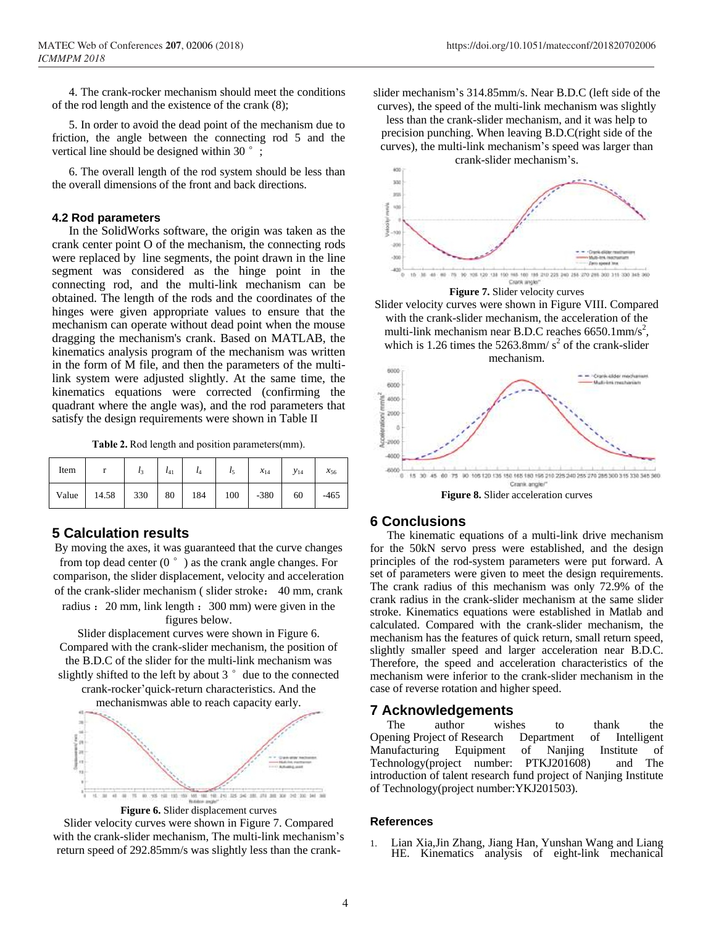4. The crank-rocker mechanism should meet the conditions of the rod length and the existence of the crank (8);

5. In order to avoid the dead point of the mechanism due to friction, the angle between the connecting rod 5 and the vertical line should be designed within 30 $\degree$ ;

6. The overall length of the rod system should be less than the overall dimensions of the front and back directions.

## **4.2 Rod parameters**

In the SolidWorks software, the origin was taken as the crank center point O of the mechanism, the connecting rods were replaced by line segments, the point drawn in the line segment was considered as the hinge point in the connecting rod, and the multi-link mechanism can be obtained. The length of the rods and the coordinates of the hinges were given appropriate values to ensure that the mechanism can operate without dead point when the mouse dragging the mechanism's crank. Based on MATLAB, the kinematics analysis program of the mechanism was written in the form of M file, and then the parameters of the multilink system were adjusted slightly. At the same time, the kinematics equations were corrected (confirming the quadrant where the angle was), and the rod parameters that satisfy the design requirements were shown in Table II

| Item |                                         |  |  | $l_3$ $l_{41}$ $l_4$ $l_5$ $x_{14}$ $y_{14}$ | $x_{56}$ |
|------|-----------------------------------------|--|--|----------------------------------------------|----------|
|      | Value 14.58 330 80 184 100 -380 60 -465 |  |  |                                              |          |

## **5 Calculation results**

By moving the axes, it was guaranteed that the curve changes from top dead center ( $0^{\circ}$ ) as the crank angle changes. For comparison, the slider displacement, velocity and acceleration of the crank-slider mechanism ( slider stroke: 40 mm, crank radius : 20 mm, link length : 300 mm) were given in the

figures below.

Slider displacement curves were shown in Figure 6. Compared with the crank-slider mechanism, the position of the B.D.C of the slider for the multi-link mechanism was slightly shifted to the left by about  $3°$  due to the connected crank-rocker'quick-return characteristics. And the

mechanismwas able to reach capacity early.



**Figure 6.** Slider displacement curves

Slider velocity curves were shown in Figure 7. Compared with the crank-slider mechanism, The multi-link mechanism's return speed of 292.85mm/s was slightly less than the crankslider mechanism's 314.85mm/s. Near B.D.C (left side of the curves), the speed of the multi-link mechanism was slightly

less than the crank-slider mechanism, and it was help to precision punching. When leaving B.D.C(right side of the curves), the multi-link mechanism's speed was larger than crank-slider mechanism's.



**Figure 7.** Slider velocity curves

Slider velocity curves were shown in Figure VIII. Compared with the crank-slider mechanism, the acceleration of the multi-link mechanism near B.D.C reaches  $6650.1$ mm/s<sup>2</sup>, which is 1.26 times the  $5263.8$ mm/ $s^2$  of the crank-slider mechanism.



## **6 Conclusions**

The kinematic equations of a multi-link drive mechanism for the 50kN servo press were established, and the design principles of the rod-system parameters were put forward. A set of parameters were given to meet the design requirements. The crank radius of this mechanism was only 72.9% of the crank radius in the crank-slider mechanism at the same slider stroke. Kinematics equations were established in Matlab and calculated. Compared with the crank-slider mechanism, the mechanism has the features of quick return, small return speed, slightly smaller speed and larger acceleration near B.D.C. Therefore, the speed and acceleration characteristics of the mechanism were inferior to the crank-slider mechanism in the case of reverse rotation and higher speed.

## **7 Acknowledgements**

The author wishes to thank the Opening Project of Research Department of Intelligent Manufacturing Equipment of Nanjing Institute of Technology(project number: PTKJ201608) and The introduction of talent research fund project of Nanjing Institute of Technology(project number:YKJ201503).

## **References**

1. Lian Xia,Jin Zhang, Jiang Han, Yunshan Wang and Liang HE. Kinematics analysis of eight-link mechanical